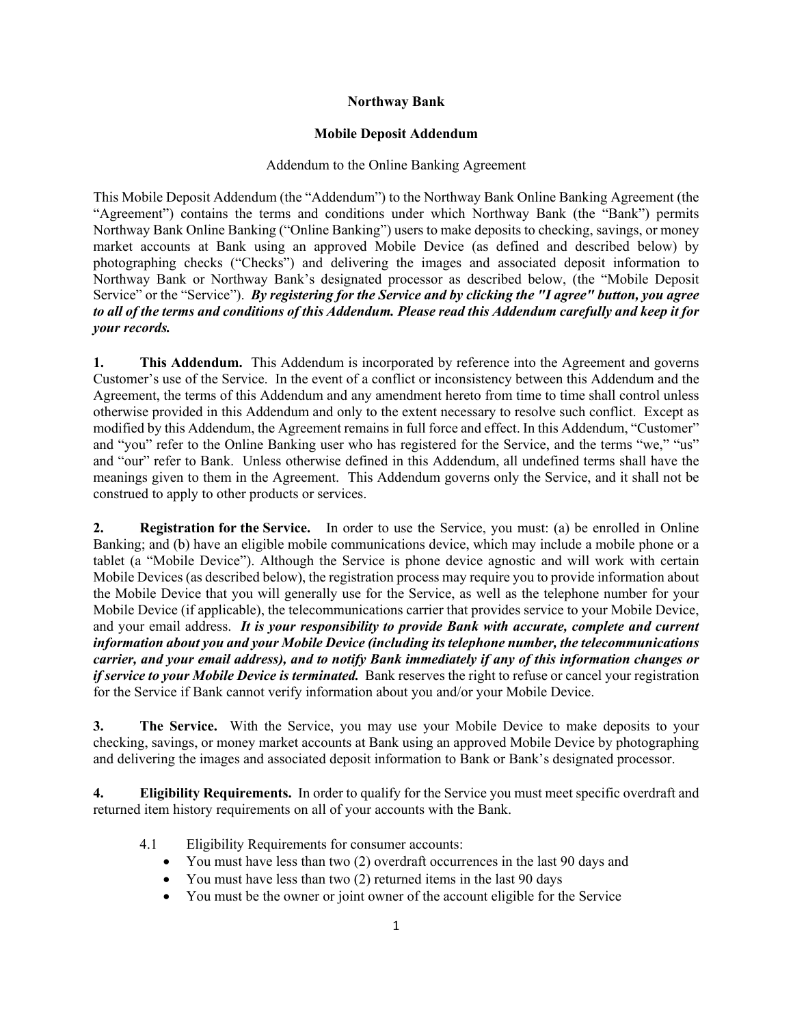# **Northway Bank**

# **Mobile Deposit Addendum**

# Addendum to the Online Banking Agreement

This Mobile Deposit Addendum (the "Addendum") to the Northway Bank Online Banking Agreement (the "Agreement") contains the terms and conditions under which Northway Bank (the "Bank") permits Northway Bank Online Banking ("Online Banking") users to make deposits to checking, savings, or money market accounts at Bank using an approved Mobile Device (as defined and described below) by photographing checks ("Checks") and delivering the images and associated deposit information to Northway Bank or Northway Bank's designated processor as described below, (the "Mobile Deposit Service" or the "Service"). *By registering for the Service and by clicking the "I agree" button, you agree to all of the terms and conditions of this Addendum. Please read this Addendum carefully and keep it for your records.*

**1. This Addendum.** This Addendum is incorporated by reference into the Agreement and governs Customer's use of the Service. In the event of a conflict or inconsistency between this Addendum and the Agreement, the terms of this Addendum and any amendment hereto from time to time shall control unless otherwise provided in this Addendum and only to the extent necessary to resolve such conflict. Except as modified by this Addendum, the Agreement remains in full force and effect. In this Addendum, "Customer" and "you" refer to the Online Banking user who has registered for the Service, and the terms "we," "us" and "our" refer to Bank. Unless otherwise defined in this Addendum, all undefined terms shall have the meanings given to them in the Agreement. This Addendum governs only the Service, and it shall not be construed to apply to other products or services.

**2. Registration for the Service.** In order to use the Service, you must: (a) be enrolled in Online Banking; and (b) have an eligible mobile communications device, which may include a mobile phone or a tablet (a "Mobile Device"). Although the Service is phone device agnostic and will work with certain Mobile Devices (as described below), the registration process may require you to provide information about the Mobile Device that you will generally use for the Service, as well as the telephone number for your Mobile Device (if applicable), the telecommunications carrier that provides service to your Mobile Device, and your email address. *It is your responsibility to provide Bank with accurate, complete and current information about you and your Mobile Device (including its telephone number, the telecommunications carrier, and your email address), and to notify Bank immediately if any of this information changes or if service to your Mobile Device is terminated.* Bank reserves the right to refuse or cancel your registration for the Service if Bank cannot verify information about you and/or your Mobile Device.

**3. The Service.** With the Service, you may use your Mobile Device to make deposits to your checking, savings, or money market accounts at Bank using an approved Mobile Device by photographing and delivering the images and associated deposit information to Bank or Bank's designated processor.

**4. Eligibility Requirements.** In order to qualify for the Service you must meet specific overdraft and returned item history requirements on all of your accounts with the Bank.

- 4.1 Eligibility Requirements for consumer accounts:
	- You must have less than two (2) overdraft occurrences in the last 90 days and
	- You must have less than two (2) returned items in the last 90 days
	- You must be the owner or joint owner of the account eligible for the Service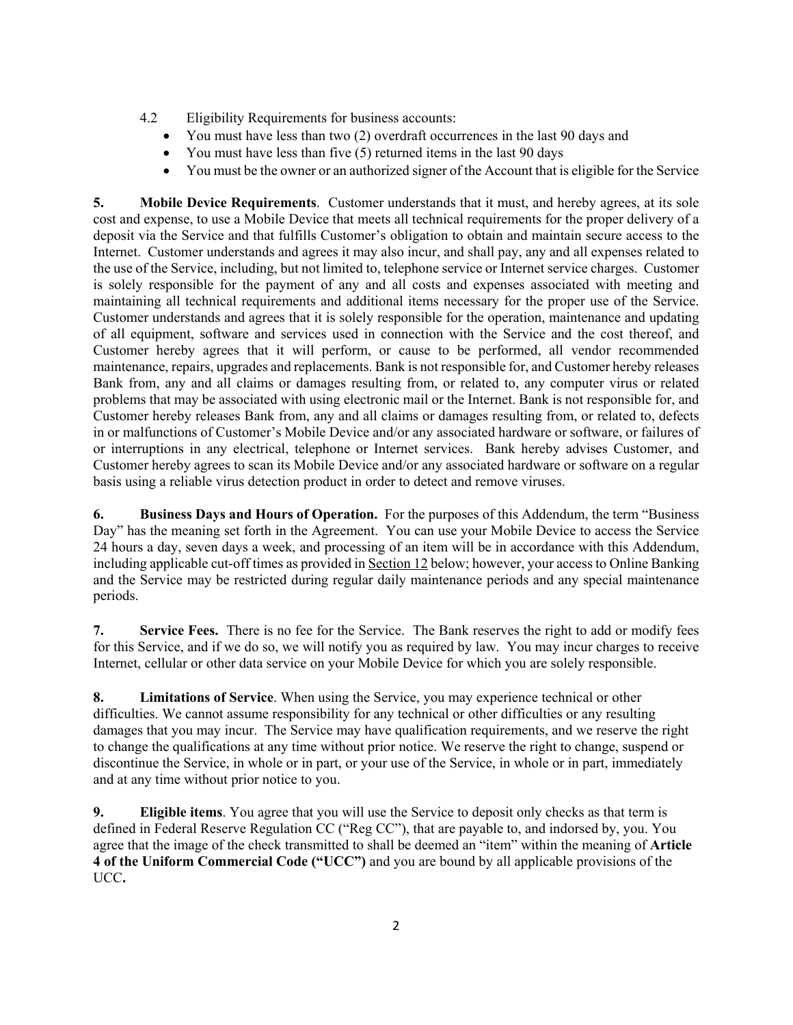- 4.2 Eligibility Requirements for business accounts:
	- You must have less than two (2) overdraft occurrences in the last 90 days and
	- You must have less than five  $(5)$  returned items in the last 90 days
	- You must be the owner or an authorized signer of the Account that is eligible for the Service

**5. Mobile Device Requirements**. Customer understands that it must, and hereby agrees, at its sole cost and expense, to use a Mobile Device that meets all technical requirements for the proper delivery of a deposit via the Service and that fulfills Customer's obligation to obtain and maintain secure access to the Internet. Customer understands and agrees it may also incur, and shall pay, any and all expenses related to the use of the Service, including, but not limited to, telephone service or Internet service charges. Customer is solely responsible for the payment of any and all costs and expenses associated with meeting and maintaining all technical requirements and additional items necessary for the proper use of the Service. Customer understands and agrees that it is solely responsible for the operation, maintenance and updating of all equipment, software and services used in connection with the Service and the cost thereof, and Customer hereby agrees that it will perform, or cause to be performed, all vendor recommended maintenance, repairs, upgrades and replacements. Bank is not responsible for, and Customer hereby releases Bank from, any and all claims or damages resulting from, or related to, any computer virus or related problems that may be associated with using electronic mail or the Internet. Bank is not responsible for, and Customer hereby releases Bank from, any and all claims or damages resulting from, or related to, defects in or malfunctions of Customer's Mobile Device and/or any associated hardware or software, or failures of or interruptions in any electrical, telephone or Internet services. Bank hereby advises Customer, and Customer hereby agrees to scan its Mobile Device and/or any associated hardware or software on a regular basis using a reliable virus detection product in order to detect and remove viruses.

**6. Business Days and Hours of Operation.** For the purposes of this Addendum, the term "Business Day" has the meaning set forth in the Agreement. You can use your Mobile Device to access the Service 24 hours a day, seven days a week, and processing of an item will be in accordance with this Addendum, including applicable cut-off times as provided in Section 12 below; however, your access to Online Banking and the Service may be restricted during regular daily maintenance periods and any special maintenance periods.

**7. Service Fees.** There is no fee for the Service.The Bank reserves the right to add or modify fees for this Service, and if we do so, we will notify you as required by law. You may incur charges to receive Internet, cellular or other data service on your Mobile Device for which you are solely responsible.

**8. Limitations of Service**. When using the Service, you may experience technical or other difficulties. We cannot assume responsibility for any technical or other difficulties or any resulting damages that you may incur. The Service may have qualification requirements, and we reserve the right to change the qualifications at any time without prior notice. We reserve the right to change, suspend or discontinue the Service, in whole or in part, or your use of the Service, in whole or in part, immediately and at any time without prior notice to you.

**9. Eligible items**. You agree that you will use the Service to deposit only checks as that term is defined in Federal Reserve Regulation CC ("Reg CC"), that are payable to, and indorsed by, you. You agree that the image of the check transmitted to shall be deemed an "item" within the meaning of **Article 4 of the Uniform Commercial Code ("UCC")** and you are bound by all applicable provisions of the UCC**.**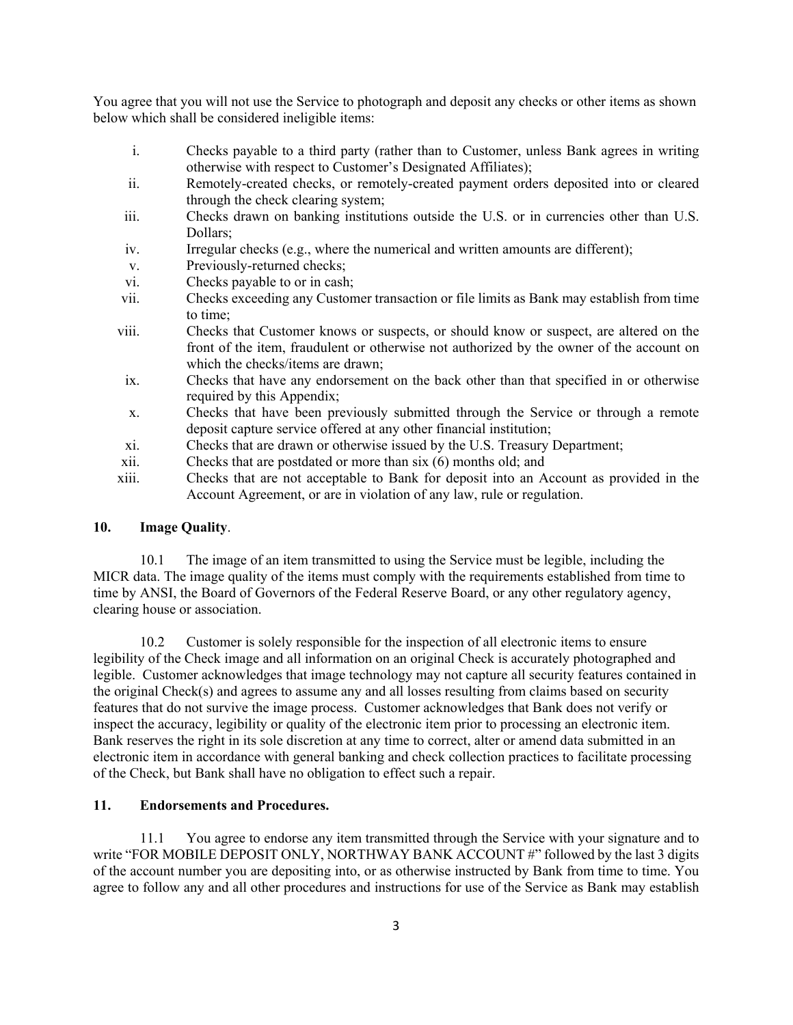You agree that you will not use the Service to photograph and deposit any checks or other items as shown below which shall be considered ineligible items:

- i. Checks payable to a third party (rather than to Customer, unless Bank agrees in writing otherwise with respect to Customer's Designated Affiliates);
- ii. Remotely-created checks, or remotely-created payment orders deposited into or cleared through the check clearing system;
- iii. Checks drawn on banking institutions outside the U.S. or in currencies other than U.S. Dollars;
- iv. Irregular checks (e.g., where the numerical and written amounts are different);
- v. Previously-returned checks;
- vi. Checks payable to or in cash;
- vii. Checks exceeding any Customer transaction or file limits as Bank may establish from time to time;
- viii. Checks that Customer knows or suspects, or should know or suspect, are altered on the front of the item, fraudulent or otherwise not authorized by the owner of the account on which the checks/items are drawn;
- ix. Checks that have any endorsement on the back other than that specified in or otherwise required by this Appendix;
- x. Checks that have been previously submitted through the Service or through a remote deposit capture service offered at any other financial institution;
- xi. Checks that are drawn or otherwise issued by the U.S. Treasury Department;
- xii. Checks that are postdated or more than six (6) months old; and
- xiii. Checks that are not acceptable to Bank for deposit into an Account as provided in the Account Agreement, or are in violation of any law, rule or regulation.

### **10. Image Quality**.

10.1 The image of an item transmitted to using the Service must be legible, including the MICR data. The image quality of the items must comply with the requirements established from time to time by ANSI, the Board of Governors of the Federal Reserve Board, or any other regulatory agency, clearing house or association.

10.2 Customer is solely responsible for the inspection of all electronic items to ensure legibility of the Check image and all information on an original Check is accurately photographed and legible. Customer acknowledges that image technology may not capture all security features contained in the original Check(s) and agrees to assume any and all losses resulting from claims based on security features that do not survive the image process. Customer acknowledges that Bank does not verify or inspect the accuracy, legibility or quality of the electronic item prior to processing an electronic item. Bank reserves the right in its sole discretion at any time to correct, alter or amend data submitted in an electronic item in accordance with general banking and check collection practices to facilitate processing of the Check, but Bank shall have no obligation to effect such a repair.

#### **11. Endorsements and Procedures.**

11.1 You agree to endorse any item transmitted through the Service with your signature and to write "FOR MOBILE DEPOSIT ONLY, NORTHWAY BANK ACCOUNT #" followed by the last 3 digits of the account number you are depositing into, or as otherwise instructed by Bank from time to time. You agree to follow any and all other procedures and instructions for use of the Service as Bank may establish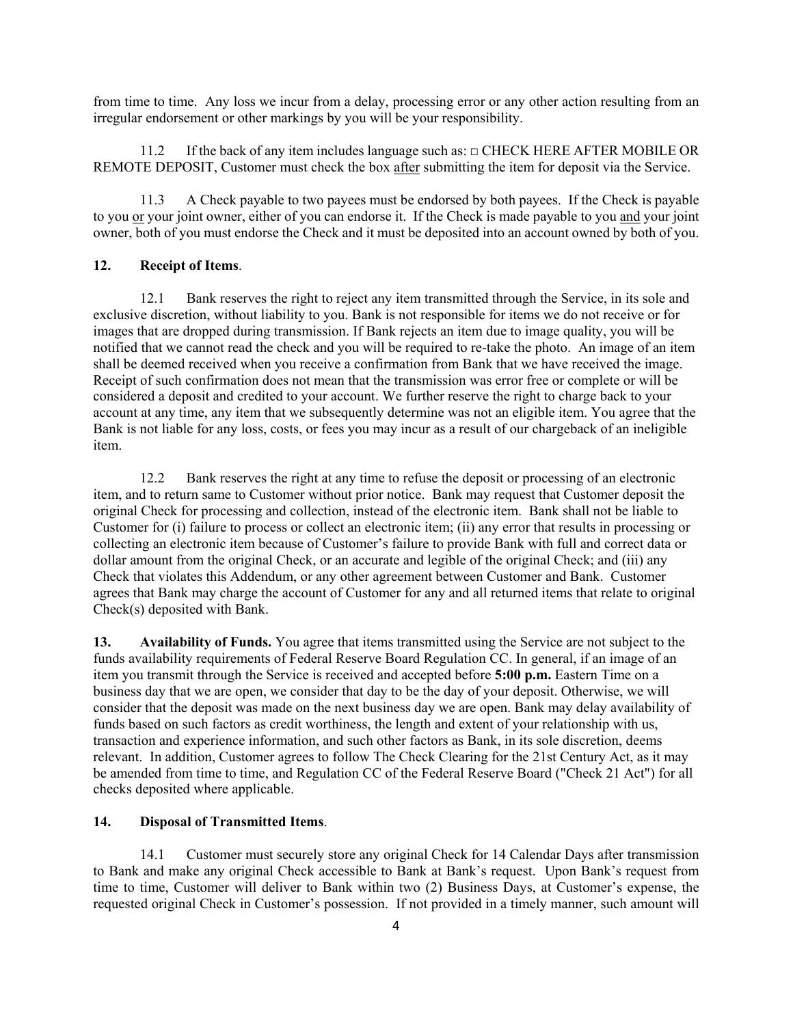from time to time. Any loss we incur from a delay, processing error or any other action resulting from an irregular endorsement or other markings by you will be your responsibility.

11.2 If the back of any item includes language such as: □ CHECK HERE AFTER MOBILE OR REMOTE DEPOSIT, Customer must check the box after submitting the item for deposit via the Service.

11.3 A Check payable to two payees must be endorsed by both payees. If the Check is payable to you or your joint owner, either of you can endorse it. If the Check is made payable to you and your joint owner, both of you must endorse the Check and it must be deposited into an account owned by both of you.

#### **12. Receipt of Items**.

12.1 Bank reserves the right to reject any item transmitted through the Service, in its sole and exclusive discretion, without liability to you. Bank is not responsible for items we do not receive or for images that are dropped during transmission. If Bank rejects an item due to image quality, you will be notified that we cannot read the check and you will be required to re-take the photo. An image of an item shall be deemed received when you receive a confirmation from Bank that we have received the image. Receipt of such confirmation does not mean that the transmission was error free or complete or will be considered a deposit and credited to your account. We further reserve the right to charge back to your account at any time, any item that we subsequently determine was not an eligible item. You agree that the Bank is not liable for any loss, costs, or fees you may incur as a result of our chargeback of an ineligible item.

12.2 Bank reserves the right at any time to refuse the deposit or processing of an electronic item, and to return same to Customer without prior notice. Bank may request that Customer deposit the original Check for processing and collection, instead of the electronic item. Bank shall not be liable to Customer for (i) failure to process or collect an electronic item; (ii) any error that results in processing or collecting an electronic item because of Customer's failure to provide Bank with full and correct data or dollar amount from the original Check, or an accurate and legible of the original Check; and (iii) any Check that violates this Addendum, or any other agreement between Customer and Bank. Customer agrees that Bank may charge the account of Customer for any and all returned items that relate to original Check(s) deposited with Bank.

**13. Availability of Funds.** You agree that items transmitted using the Service are not subject to the funds availability requirements of Federal Reserve Board Regulation CC. In general, if an image of an item you transmit through the Service is received and accepted before **5:00 p.m.** Eastern Time on a business day that we are open, we consider that day to be the day of your deposit. Otherwise, we will consider that the deposit was made on the next business day we are open. Bank may delay availability of funds based on such factors as credit worthiness, the length and extent of your relationship with us, transaction and experience information, and such other factors as Bank, in its sole discretion, deems relevant. In addition, Customer agrees to follow The Check Clearing for the 21st Century Act, as it may be amended from time to time, and Regulation CC of the Federal Reserve Board ("Check 21 Act") for all checks deposited where applicable.

## **14. Disposal of Transmitted Items**.

14.1 Customer must securely store any original Check for 14 Calendar Days after transmission to Bank and make any original Check accessible to Bank at Bank's request. Upon Bank's request from time to time, Customer will deliver to Bank within two (2) Business Days, at Customer's expense, the requested original Check in Customer's possession. If not provided in a timely manner, such amount will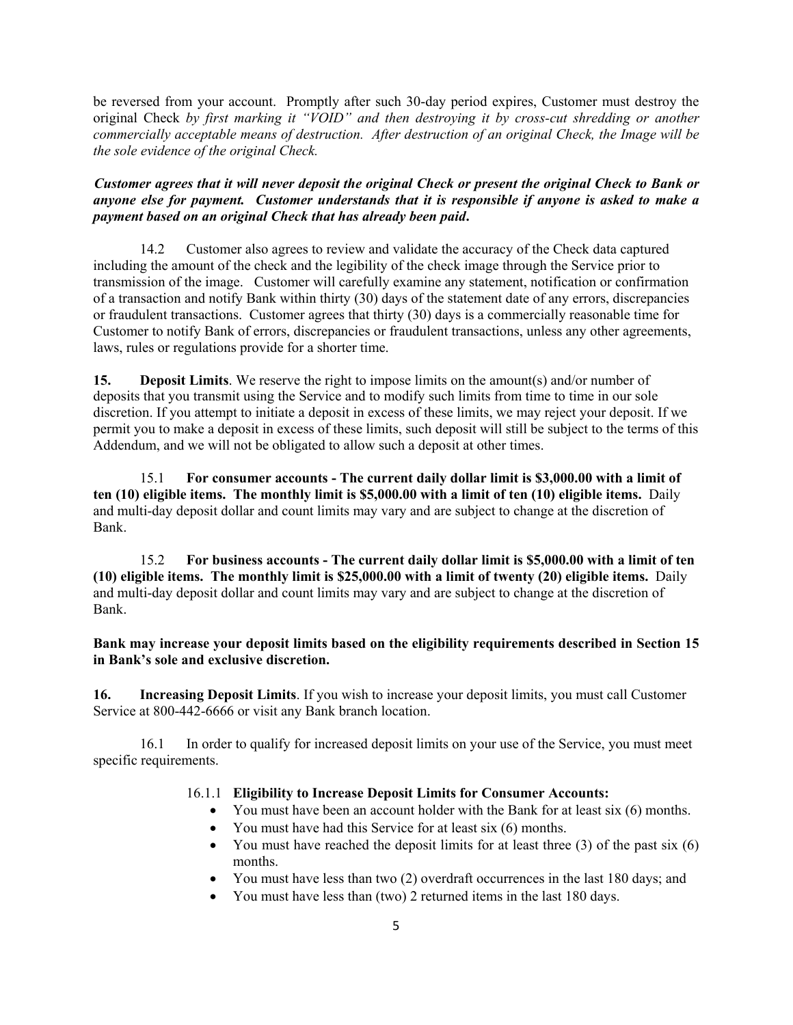be reversed from your account. Promptly after such 30-day period expires, Customer must destroy the original Check *by first marking it "VOID" and then destroying it by cross-cut shredding or another commercially acceptable means of destruction. After destruction of an original Check, the Image will be the sole evidence of the original Check.*

*Customer agrees that it will never deposit the original Check or present the original Check to Bank or anyone else for payment. Customer understands that it is responsible if anyone is asked to make a payment based on an original Check that has already been paid***.**

14.2 Customer also agrees to review and validate the accuracy of the Check data captured including the amount of the check and the legibility of the check image through the Service prior to transmission of the image. Customer will carefully examine any statement, notification or confirmation of a transaction and notify Bank within thirty (30) days of the statement date of any errors, discrepancies or fraudulent transactions. Customer agrees that thirty (30) days is a commercially reasonable time for Customer to notify Bank of errors, discrepancies or fraudulent transactions, unless any other agreements, laws, rules or regulations provide for a shorter time.

**15. Deposit Limits**. We reserve the right to impose limits on the amount(s) and/or number of deposits that you transmit using the Service and to modify such limits from time to time in our sole discretion. If you attempt to initiate a deposit in excess of these limits, we may reject your deposit. If we permit you to make a deposit in excess of these limits, such deposit will still be subject to the terms of this Addendum, and we will not be obligated to allow such a deposit at other times.

15.1 **For consumer accounts - The current daily dollar limit is \$3,000.00 with a limit of ten (10) eligible items. The monthly limit is \$5,000.00 with a limit of ten (10) eligible items.** Daily and multi-day deposit dollar and count limits may vary and are subject to change at the discretion of Bank.

15.2 **For business accounts - The current daily dollar limit is \$5,000.00 with a limit of ten (10) eligible items. The monthly limit is \$25,000.00 with a limit of twenty (20) eligible items.** Daily and multi-day deposit dollar and count limits may vary and are subject to change at the discretion of Bank.

**Bank may increase your deposit limits based on the eligibility requirements described in Section 15 in Bank's sole and exclusive discretion.** 

**16. Increasing Deposit Limits**. If you wish to increase your deposit limits, you must call Customer Service at 800-442-6666 or visit any Bank branch location.

16.1 In order to qualify for increased deposit limits on your use of the Service, you must meet specific requirements.

#### 16.1.1 **Eligibility to Increase Deposit Limits for Consumer Accounts:**

- You must have been an account holder with the Bank for at least six (6) months.
- You must have had this Service for at least six (6) months.
- You must have reached the deposit limits for at least three  $(3)$  of the past six  $(6)$ months.
- You must have less than two (2) overdraft occurrences in the last 180 days; and
- You must have less than (two) 2 returned items in the last 180 days.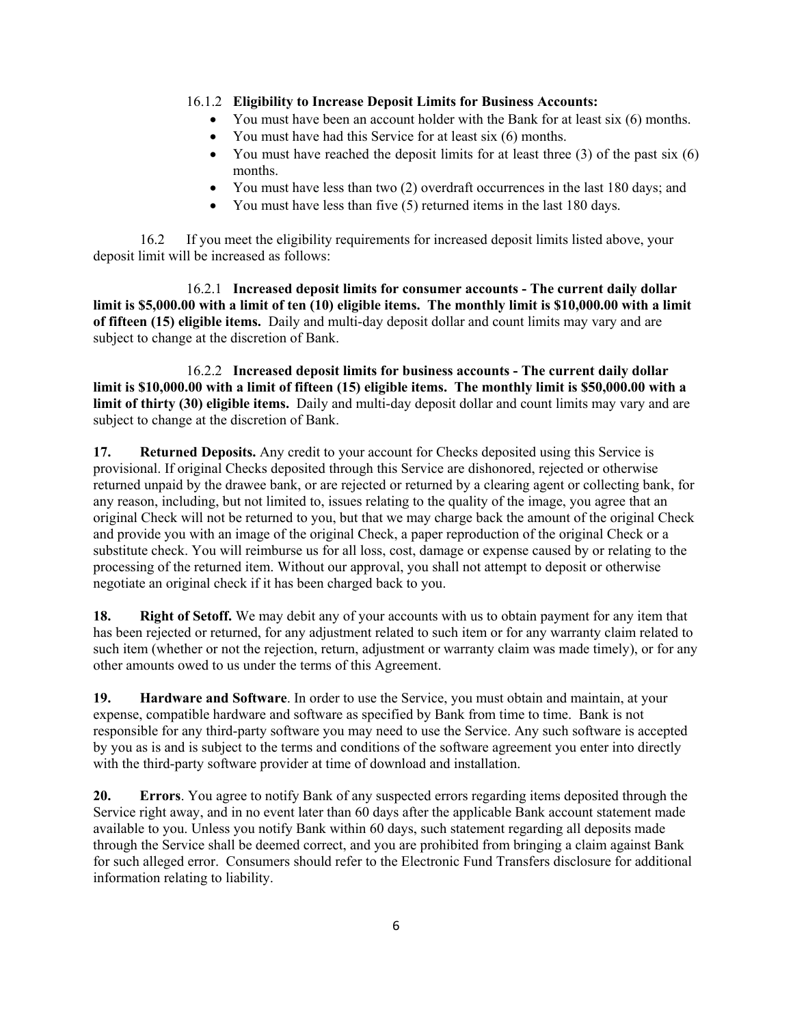## 16.1.2 **Eligibility to Increase Deposit Limits for Business Accounts:**

- You must have been an account holder with the Bank for at least six (6) months.
- You must have had this Service for at least six (6) months.
- You must have reached the deposit limits for at least three  $(3)$  of the past six  $(6)$ months.
- You must have less than two (2) overdraft occurrences in the last 180 days; and
- You must have less than five (5) returned items in the last 180 days.

16.2 If you meet the eligibility requirements for increased deposit limits listed above, your deposit limit will be increased as follows:

16.2.1 **Increased deposit limits for consumer accounts - The current daily dollar limit is \$5,000.00 with a limit of ten (10) eligible items. The monthly limit is \$10,000.00 with a limit of fifteen (15) eligible items.** Daily and multi-day deposit dollar and count limits may vary and are subject to change at the discretion of Bank.

16.2.2 **Increased deposit limits for business accounts - The current daily dollar limit is \$10,000.00 with a limit of fifteen (15) eligible items. The monthly limit is \$50,000.00 with a limit of thirty (30) eligible items.** Daily and multi-day deposit dollar and count limits may vary and are subject to change at the discretion of Bank.

**17. Returned Deposits.** Any credit to your account for Checks deposited using this Service is provisional. If original Checks deposited through this Service are dishonored, rejected or otherwise returned unpaid by the drawee bank, or are rejected or returned by a clearing agent or collecting bank, for any reason, including, but not limited to, issues relating to the quality of the image, you agree that an original Check will not be returned to you, but that we may charge back the amount of the original Check and provide you with an image of the original Check, a paper reproduction of the original Check or a substitute check. You will reimburse us for all loss, cost, damage or expense caused by or relating to the processing of the returned item. Without our approval, you shall not attempt to deposit or otherwise negotiate an original check if it has been charged back to you.

**18. Right of Setoff.** We may debit any of your accounts with us to obtain payment for any item that has been rejected or returned, for any adjustment related to such item or for any warranty claim related to such item (whether or not the rejection, return, adjustment or warranty claim was made timely), or for any other amounts owed to us under the terms of this Agreement.

**19. Hardware and Software**. In order to use the Service, you must obtain and maintain, at your expense, compatible hardware and software as specified by Bank from time to time. Bank is not responsible for any third-party software you may need to use the Service. Any such software is accepted by you as is and is subject to the terms and conditions of the software agreement you enter into directly with the third-party software provider at time of download and installation.

**20. Errors**. You agree to notify Bank of any suspected errors regarding items deposited through the Service right away, and in no event later than 60 days after the applicable Bank account statement made available to you. Unless you notify Bank within 60 days, such statement regarding all deposits made through the Service shall be deemed correct, and you are prohibited from bringing a claim against Bank for such alleged error. Consumers should refer to the Electronic Fund Transfers disclosure for additional information relating to liability.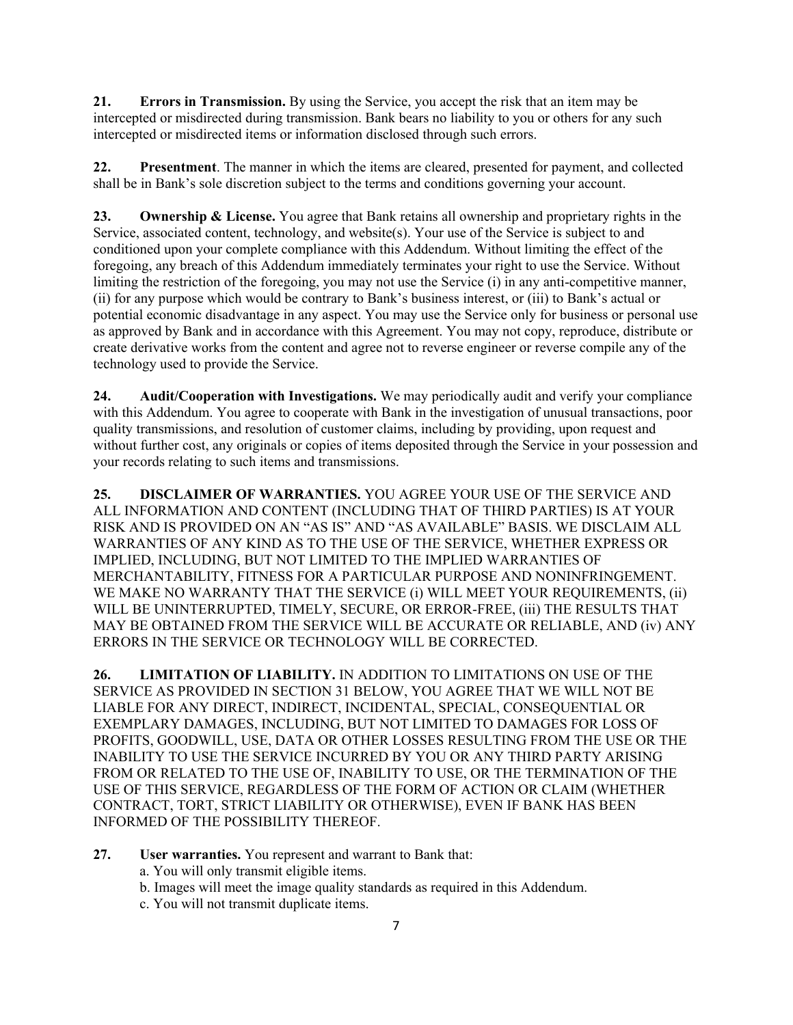**21. Errors in Transmission.** By using the Service, you accept the risk that an item may be intercepted or misdirected during transmission. Bank bears no liability to you or others for any such intercepted or misdirected items or information disclosed through such errors.

**22. Presentment**. The manner in which the items are cleared, presented for payment, and collected shall be in Bank's sole discretion subject to the terms and conditions governing your account.

**23. Ownership & License.** You agree that Bank retains all ownership and proprietary rights in the Service, associated content, technology, and website(s). Your use of the Service is subject to and conditioned upon your complete compliance with this Addendum. Without limiting the effect of the foregoing, any breach of this Addendum immediately terminates your right to use the Service. Without limiting the restriction of the foregoing, you may not use the Service (i) in any anti-competitive manner, (ii) for any purpose which would be contrary to Bank's business interest, or (iii) to Bank's actual or potential economic disadvantage in any aspect. You may use the Service only for business or personal use as approved by Bank and in accordance with this Agreement. You may not copy, reproduce, distribute or create derivative works from the content and agree not to reverse engineer or reverse compile any of the technology used to provide the Service.

**24. Audit/Cooperation with Investigations.** We may periodically audit and verify your compliance with this Addendum. You agree to cooperate with Bank in the investigation of unusual transactions, poor quality transmissions, and resolution of customer claims, including by providing, upon request and without further cost, any originals or copies of items deposited through the Service in your possession and your records relating to such items and transmissions.

**25. DISCLAIMER OF WARRANTIES.** YOU AGREE YOUR USE OF THE SERVICE AND ALL INFORMATION AND CONTENT (INCLUDING THAT OF THIRD PARTIES) IS AT YOUR RISK AND IS PROVIDED ON AN "AS IS" AND "AS AVAILABLE" BASIS. WE DISCLAIM ALL WARRANTIES OF ANY KIND AS TO THE USE OF THE SERVICE, WHETHER EXPRESS OR IMPLIED, INCLUDING, BUT NOT LIMITED TO THE IMPLIED WARRANTIES OF MERCHANTABILITY, FITNESS FOR A PARTICULAR PURPOSE AND NONINFRINGEMENT. WE MAKE NO WARRANTY THAT THE SERVICE (i) WILL MEET YOUR REQUIREMENTS, (ii) WILL BE UNINTERRUPTED, TIMELY, SECURE, OR ERROR-FREE, (iii) THE RESULTS THAT MAY BE OBTAINED FROM THE SERVICE WILL BE ACCURATE OR RELIABLE, AND (iv) ANY ERRORS IN THE SERVICE OR TECHNOLOGY WILL BE CORRECTED.

**26. LIMITATION OF LIABILITY.** IN ADDITION TO LIMITATIONS ON USE OF THE SERVICE AS PROVIDED IN SECTION 31 BELOW, YOU AGREE THAT WE WILL NOT BE LIABLE FOR ANY DIRECT, INDIRECT, INCIDENTAL, SPECIAL, CONSEQUENTIAL OR EXEMPLARY DAMAGES, INCLUDING, BUT NOT LIMITED TO DAMAGES FOR LOSS OF PROFITS, GOODWILL, USE, DATA OR OTHER LOSSES RESULTING FROM THE USE OR THE INABILITY TO USE THE SERVICE INCURRED BY YOU OR ANY THIRD PARTY ARISING FROM OR RELATED TO THE USE OF, INABILITY TO USE, OR THE TERMINATION OF THE USE OF THIS SERVICE, REGARDLESS OF THE FORM OF ACTION OR CLAIM (WHETHER CONTRACT, TORT, STRICT LIABILITY OR OTHERWISE), EVEN IF BANK HAS BEEN INFORMED OF THE POSSIBILITY THEREOF.

- **27. User warranties.** You represent and warrant to Bank that:
	- a. You will only transmit eligible items.
	- b. Images will meet the image quality standards as required in this Addendum.
	- c. You will not transmit duplicate items.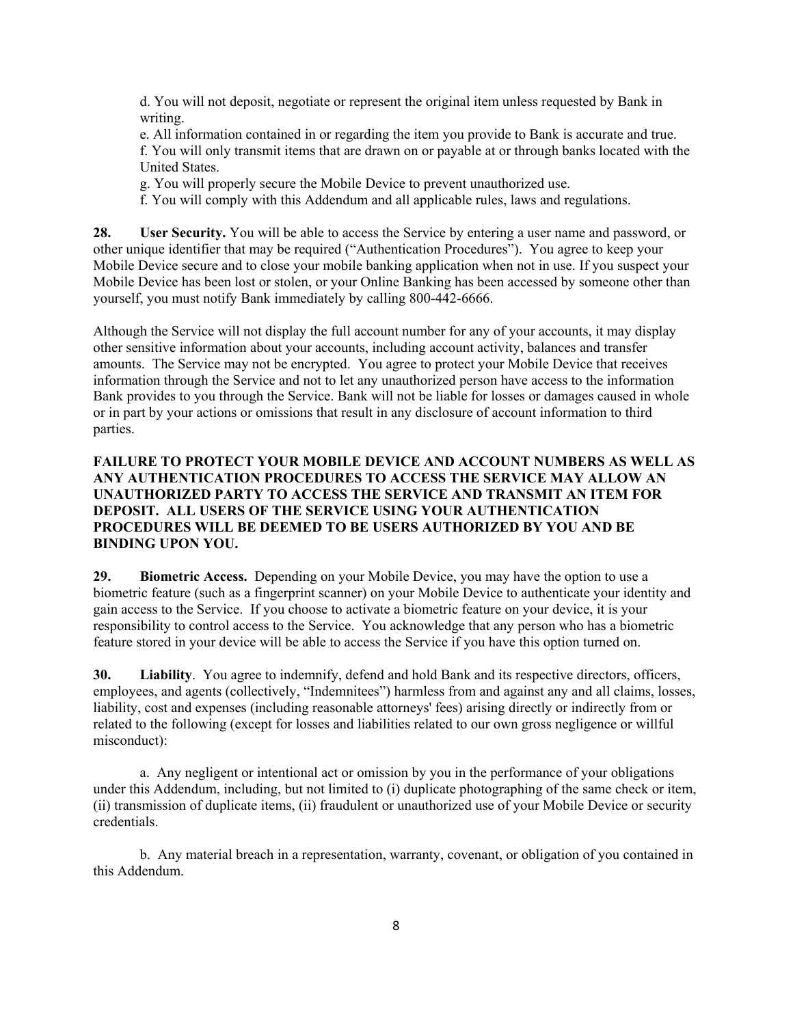d. You will not deposit, negotiate or represent the original item unless requested by Bank in writing.

e. All information contained in or regarding the item you provide to Bank is accurate and true. f. You will only transmit items that are drawn on or payable at or through banks located with the United States.

g. You will properly secure the Mobile Device to prevent unauthorized use.

f. You will comply with this Addendum and all applicable rules, laws and regulations.

**28. User Security.** You will be able to access the Service by entering a user name and password, or other unique identifier that may be required ("Authentication Procedures"). You agree to keep your Mobile Device secure and to close your mobile banking application when not in use. If you suspect your Mobile Device has been lost or stolen, or your Online Banking has been accessed by someone other than yourself, you must notify Bank immediately by calling 800-442-6666.

Although the Service will not display the full account number for any of your accounts, it may display other sensitive information about your accounts, including account activity, balances and transfer amounts. The Service may not be encrypted. You agree to protect your Mobile Device that receives information through the Service and not to let any unauthorized person have access to the information Bank provides to you through the Service. Bank will not be liable for losses or damages caused in whole or in part by your actions or omissions that result in any disclosure of account information to third parties.

# **FAILURE TO PROTECT YOUR MOBILE DEVICE AND ACCOUNT NUMBERS AS WELL AS ANY AUTHENTICATION PROCEDURES TO ACCESS THE SERVICE MAY ALLOW AN UNAUTHORIZED PARTY TO ACCESS THE SERVICE AND TRANSMIT AN ITEM FOR DEPOSIT. ALL USERS OF THE SERVICE USING YOUR AUTHENTICATION PROCEDURES WILL BE DEEMED TO BE USERS AUTHORIZED BY YOU AND BE BINDING UPON YOU.**

**29. Biometric Access.** Depending on your Mobile Device, you may have the option to use a biometric feature (such as a fingerprint scanner) on your Mobile Device to authenticate your identity and gain access to the Service. If you choose to activate a biometric feature on your device, it is your responsibility to control access to the Service. You acknowledge that any person who has a biometric feature stored in your device will be able to access the Service if you have this option turned on.

**30. Liability**. You agree to indemnify, defend and hold Bank and its respective directors, officers, employees, and agents (collectively, "Indemnitees") harmless from and against any and all claims, losses, liability, cost and expenses (including reasonable attorneys' fees) arising directly or indirectly from or related to the following (except for losses and liabilities related to our own gross negligence or willful misconduct):

a. Any negligent or intentional act or omission by you in the performance of your obligations under this Addendum, including, but not limited to (i) duplicate photographing of the same check or item, (ii) transmission of duplicate items, (ii) fraudulent or unauthorized use of your Mobile Device or security credentials.

b. Any material breach in a representation, warranty, covenant, or obligation of you contained in this Addendum.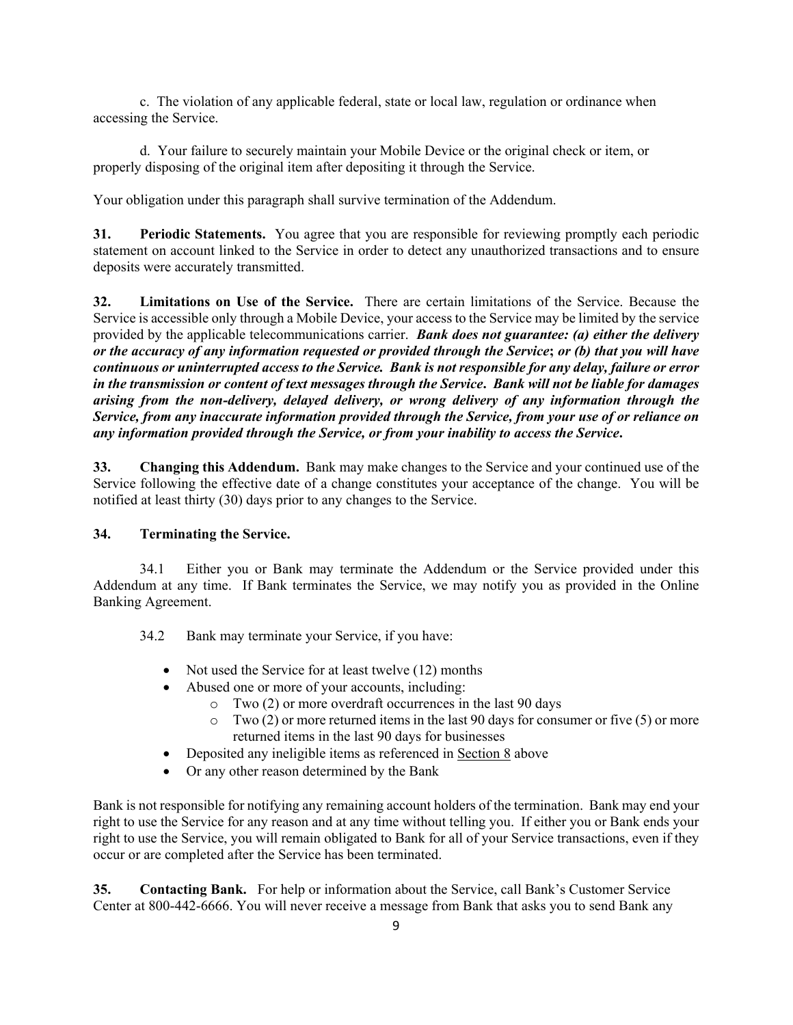c. The violation of any applicable federal, state or local law, regulation or ordinance when accessing the Service.

d. Your failure to securely maintain your Mobile Device or the original check or item, or properly disposing of the original item after depositing it through the Service.

Your obligation under this paragraph shall survive termination of the Addendum.

**31. Periodic Statements.** You agree that you are responsible for reviewing promptly each periodic statement on account linked to the Service in order to detect any unauthorized transactions and to ensure deposits were accurately transmitted.

**32. Limitations on Use of the Service.** There are certain limitations of the Service. Because the Service is accessible only through a Mobile Device, your access to the Service may be limited by the service provided by the applicable telecommunications carrier. *Bank does not guarantee: (a) either the delivery or the accuracy of any information requested or provided through the Service***;** *or (b) that you will have continuous or uninterrupted access to the Service. Bank is not responsible for any delay, failure or error in the transmission or content of text messages through the Service***.** *Bank will not be liable for damages arising from the non-delivery, delayed delivery, or wrong delivery of any information through the Service, from any inaccurate information provided through the Service, from your use of or reliance on any information provided through the Service, or from your inability to access the Service***.**

**33. Changing this Addendum.** Bank may make changes to the Service and your continued use of the Service following the effective date of a change constitutes your acceptance of the change. You will be notified at least thirty (30) days prior to any changes to the Service.

#### **34. Terminating the Service.**

34.1 Either you or Bank may terminate the Addendum or the Service provided under this Addendum at any time. If Bank terminates the Service, we may notify you as provided in the Online Banking Agreement.

34.2 Bank may terminate your Service, if you have:

- Not used the Service for at least twelve (12) months
- Abused one or more of your accounts, including:
	- o Two (2) or more overdraft occurrences in the last 90 days
	- $\circ$  Two (2) or more returned items in the last 90 days for consumer or five (5) or more returned items in the last 90 days for businesses
- Deposited any ineligible items as referenced in Section 8 above
- Or any other reason determined by the Bank

Bank is not responsible for notifying any remaining account holders of the termination. Bank may end your right to use the Service for any reason and at any time without telling you. If either you or Bank ends your right to use the Service, you will remain obligated to Bank for all of your Service transactions, even if they occur or are completed after the Service has been terminated.

**35. Contacting Bank.** For help or information about the Service, call Bank's Customer Service Center at 800-442-6666. You will never receive a message from Bank that asks you to send Bank any